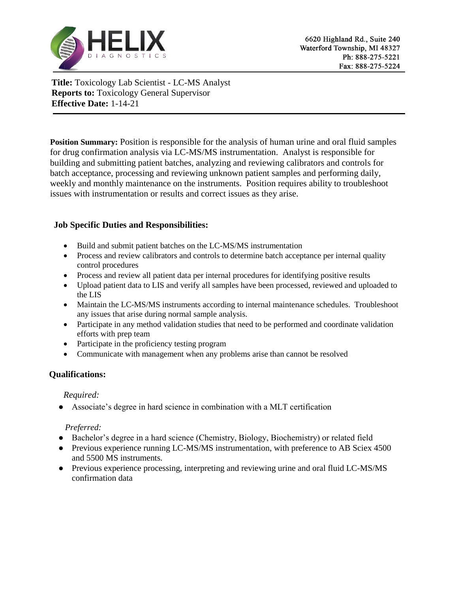

**Title:** Toxicology Lab Scientist - LC-MS Analyst **Reports to:** Toxicology General Supervisor **Effective Date:** 1-14-21

**Position Summary:** Position is responsible for the analysis of human urine and oral fluid samples for drug confirmation analysis via LC-MS/MS instrumentation. Analyst is responsible for building and submitting patient batches, analyzing and reviewing calibrators and controls for batch acceptance, processing and reviewing unknown patient samples and performing daily, weekly and monthly maintenance on the instruments. Position requires ability to troubleshoot issues with instrumentation or results and correct issues as they arise.

# **Job Specific Duties and Responsibilities:**

- Build and submit patient batches on the LC-MS/MS instrumentation
- Process and review calibrators and controls to determine batch acceptance per internal quality control procedures
- Process and review all patient data per internal procedures for identifying positive results
- Upload patient data to LIS and verify all samples have been processed, reviewed and uploaded to the LIS
- Maintain the LC-MS/MS instruments according to internal maintenance schedules. Troubleshoot any issues that arise during normal sample analysis.
- Participate in any method validation studies that need to be performed and coordinate validation efforts with prep team
- Participate in the proficiency testing program
- Communicate with management when any problems arise than cannot be resolved

# **Qualifications:**

#### *Required:*

● Associate's degree in hard science in combination with a MLT certification

#### *Preferred:*

- Bachelor's degree in a hard science (Chemistry, Biology, Biochemistry) or related field
- Previous experience running LC-MS/MS instrumentation, with preference to AB Sciex 4500 and 5500 MS instruments.
- Previous experience processing, interpreting and reviewing urine and oral fluid LC-MS/MS confirmation data